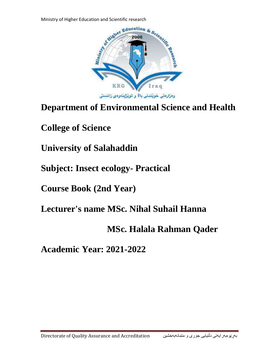

# **Department of Environmental Science and Health**

**College of Science**

**University of Salahaddin**

**Subject: Insect ecology- Practical**

**Course Book (2nd Year)**

**Lecturer's name MSc. Nihal Suhail Hanna**

## **MSc. Halala Rahman Qader**

**Academic Year: 2021-2022**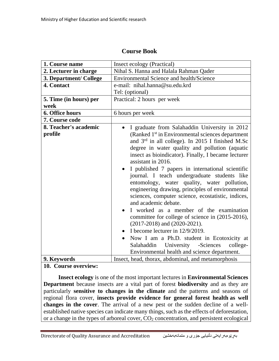| 1. Course name                   | Insect ecology (Practical)                                                                                                                                                                                                                                                                                                                                                                                                                                                                                                                                                                                                                                                                                                                                                                                                                                                                                                                                      |
|----------------------------------|-----------------------------------------------------------------------------------------------------------------------------------------------------------------------------------------------------------------------------------------------------------------------------------------------------------------------------------------------------------------------------------------------------------------------------------------------------------------------------------------------------------------------------------------------------------------------------------------------------------------------------------------------------------------------------------------------------------------------------------------------------------------------------------------------------------------------------------------------------------------------------------------------------------------------------------------------------------------|
| 2. Lecturer in charge            | Nihal S. Hanna and Halala Rahman Qader                                                                                                                                                                                                                                                                                                                                                                                                                                                                                                                                                                                                                                                                                                                                                                                                                                                                                                                          |
| 3. Department/ College           | <b>Environmental Science and health/Science</b>                                                                                                                                                                                                                                                                                                                                                                                                                                                                                                                                                                                                                                                                                                                                                                                                                                                                                                                 |
| 4. Contact                       | e-mail: nihal.hanna@su.edu.krd                                                                                                                                                                                                                                                                                                                                                                                                                                                                                                                                                                                                                                                                                                                                                                                                                                                                                                                                  |
|                                  | Tel: (optional)                                                                                                                                                                                                                                                                                                                                                                                                                                                                                                                                                                                                                                                                                                                                                                                                                                                                                                                                                 |
| 5. Time (in hours) per           | Practical: 2 hours per week                                                                                                                                                                                                                                                                                                                                                                                                                                                                                                                                                                                                                                                                                                                                                                                                                                                                                                                                     |
| week                             |                                                                                                                                                                                                                                                                                                                                                                                                                                                                                                                                                                                                                                                                                                                                                                                                                                                                                                                                                                 |
| 6. Office hours                  | 6 hours per week                                                                                                                                                                                                                                                                                                                                                                                                                                                                                                                                                                                                                                                                                                                                                                                                                                                                                                                                                |
| 7. Course code                   |                                                                                                                                                                                                                                                                                                                                                                                                                                                                                                                                                                                                                                                                                                                                                                                                                                                                                                                                                                 |
| 8. Teacher's academic<br>profile | I graduate from Salahaddin University in 2012<br>(Ranked 1 <sup>st</sup> in Environmental sciences department<br>and 3 <sup>rd</sup> in all college). In 2015 I finished M.Sc<br>degree in water quality and pollution (aquatic<br>insect as bioindicator). Finally, I became lecturer<br>assistant in 2016.<br>I published 7 papers in international scientific<br>$\bullet$<br>journal. I teach undergraduate students like<br>entomology, water quality, water pollution,<br>engineering drawing, principles of environmental<br>sciences, computer science, ecostatistic, indices,<br>and academic debate.<br>I worked as a member of the examination<br>$\bullet$<br>committee for college of science in (2015-2016),<br>$(2017-2018)$ and $(2020-2021)$ .<br>I become lecturer in $12/9/2019$ .<br>$\bullet$<br>Now I am a Ph.D. student in Ecotoxicity at<br>Salahaddin University -Sciences<br>college-<br>Environmental health and science department. |
|                                  |                                                                                                                                                                                                                                                                                                                                                                                                                                                                                                                                                                                                                                                                                                                                                                                                                                                                                                                                                                 |
| 9. Keywords                      | Insect, head, thorax, abdominal, and metamorphosis                                                                                                                                                                                                                                                                                                                                                                                                                                                                                                                                                                                                                                                                                                                                                                                                                                                                                                              |
|                                  |                                                                                                                                                                                                                                                                                                                                                                                                                                                                                                                                                                                                                                                                                                                                                                                                                                                                                                                                                                 |

**10. Course overview:**

 **Insect ecology** is one of the most important lectures in **Environmental Sciences Department** because insects are a vital part of forest **biodiversity** and as they are particularly **sensitive to changes in the climate** and the patterns and seasons of regional flora cover, **insects provide evidence for general forest health as well changes in the cover**. The arrival of a new pest or the sudden decline of a wellestablished native species can indicate many things, such as the effects of deforestation, or a change in the types of arboreal cover,  $CO<sub>2</sub>$  concentration, and persistent ecological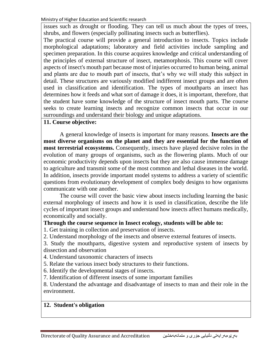Ministry of Higher Education and Scientific research

issues such as drought or flooding. They can tell us much about the types of trees, shrubs, and flowers (especially pollinating insects such as butterflies).

The practical course will provide a general introduction to insects. Topics include morphological adaptations; laboratory and field activities include sampling and specimen preparation. In this course acquires knowledge and critical understanding of the principles of external structure of insect, metamorphosis. This course will cover aspects of insect's mouth part because most of injuries occurred to human being, animal and plants are due to mouth part of insects, that's why we will study this subject in detail. These structures are variously modified indifferent insect groups and are often used in classification and identification. The types of mouthparts an insect has determines how it feeds and what sort of damage it does, it is important, therefore, that the student have some knowledge of the structure of insect mouth parts. The course seeks to create learning insects and recognize common insects that occur in our surroundings and understand their biology and unique adaptations.

#### **11. Course objective:**

 A general knowledge of insects is important for many reasons. **Insects are the most diverse organisms on the planet and they are essential for the function of most terrestrial ecosystems.** Consequently, insects have played decisive roles in the evolution of many groups of organisms, such as the flowering plants. Much of our economic productivity depends upon insects but they are also cause immense damage to agriculture and transmit some of the most common and lethal diseases in the world. In addition, insects provide important model systems to address a variety of scientific questions from evolutionary development of complex body designs to how organisms communicate with one another.

 The course will cover the basic view about insects including learning the basic external morphology of insects and how it is used in classification, describe the life cycles of important insect groups and understand how insects affect humans medically, economically and socially.

#### **Through the course sequence in Insect ecology, students will be able to:**

1. Get training in collection and preservation of insects.

2. Understand morphology of the insects and observe external features of insects.

3. Study the mouthparts, digestive system and reproductive system of insects by dissection and observation

4. Understand taxonomic characters of insects

5. Relate the various insect body structures to their functions.

6. Identify the developmental stages of insects.

7. Identification of different insects of some important families

8. Understand the advantage and disadvantage of insects to man and their role in the environment.

## **12. Student's obligation**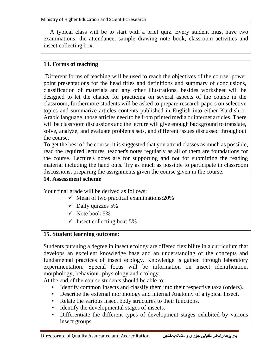A typical class will be to start with a brief quiz. Every student must have two examinations, the attendance, sample drawing note book, classroom activities and insect collecting box.

### **13. Forms of teaching**

Different forms of teaching will be used to reach the objectives of the course: power point presentations for the head titles and definitions and summary of conclusions, classification of materials and any other illustrations, besides worksheet will be designed to let the chance for practicing on several aspects of the course in the classroom, furthermore students will be asked to prepare research papers on selective topics and summarize articles contents published in English into either Kurdish or Arabic language, those articles need to be from printed media or internet articles. There will be classroom discussions and the lecture will give enough background to translate, solve, analyze, and evaluate problems sets, and different issues discussed throughout the course.

To get the best of the course, it is suggested that you attend classes as much as possible, read the required lectures, teacher's notes regularly as all of them are foundations for the course. Lecture's notes are for supporting and not for submitting the reading material including the hand outs. Try as much as possible to participate in classroom discussions, preparing the assignments given the course given in the course.

## **14. Assessment scheme**

Your final grade will be derived as follows:

- $\checkmark$  Mean of two practical examinations: 20%
- $\checkmark$  Daily quizzes 5%
- $\checkmark$  Note book 5%
- $\checkmark$  Insect collecting box: 5%

## **15. Student learning outcome:**

Students pursuing a degree in insect ecology are offered flexibility in a curriculum that develops an excellent knowledge base and an understanding of the concepts and fundamental practices of insect ecology. Knowledge is gained through laboratory experimentation. Special focus will be information on insect identification, morphology, behaviour, physiology and ecology.

At the end of the course students should be able to:-

- Identify common Insects and classify them into their respective taxa (orders).
- Describe the external morphology and internal Anatomy of a typical Insect.
- Relate the various insect body structures to their functions.
- Identify the developmental stages of insects.
- Differentiate the different types of development stages exhibited by various insect groups.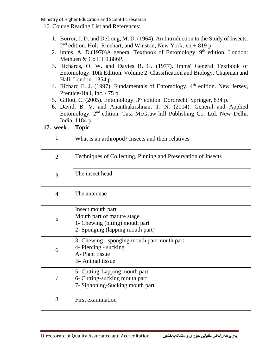16. Course Reading List and References:

- 1. Borror, J. D. and DeLong, M. D. (1964). An Introduction to the Study of Insects. 2<sup>nd</sup> edition. Holt, Rinehart, and Winston, New York, xii + 819 p.
- 2. Imms, A. D.(1970)A general Textbook of Entomology. 9<sup>th</sup> edition, London: Methuen & Co LTD.886P.
- 3. Richards, O. W. and Davies R. G. (1977). Imms' General Textbook of Entomology. 10th Edition. Volume 2: Classification and Biology. Chapman and Hall, London. 1354 p.
- 4. Richard E. J. (1997). Fundamentals of Entomology.  $4<sup>th</sup>$  edition. New Jersey, Prentice-Hall, Inc. 475 p.
- 5. Gillott, C. (2005). Entomology. 3rd edition. Dordrecht, Springer, 834 p.
- 6. David, B. V. and Ananthakrishnan, T. N. (2004). General and Applied Entomology. 2nd edition. Tata McGraw-hill Publishing Co. Ltd. New Delhi. India. 1184 p.

| 17. week       | <b>Topic</b>                                                                                                          |
|----------------|-----------------------------------------------------------------------------------------------------------------------|
| 1              | What is an arthropod? Insects and their relatives                                                                     |
| $\overline{2}$ | Techniques of Collecting, Pinning and Preservation of Insects                                                         |
| 3              | The insect head                                                                                                       |
| $\overline{4}$ | The antennae                                                                                                          |
| 5              | Insect mouth part<br>Mouth part of mature stage<br>1- Chewing (biting) mouth part<br>2- Sponging (lapping mouth part) |
| 6              | 3- Chewing - sponging mouth part mouth part<br>4- Piercing - sucking<br>A-Plant tissue<br><b>B</b> -Animal tissue     |
| 7              | 5- Cutting-Lapping mouth part<br>6- Cutting-sucking mouth part<br>7- Siphoning-Sucking mouth part                     |
| 8              | First examination                                                                                                     |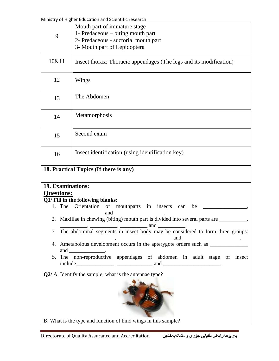Ministry of Higher Education and Scientific research

| 9                                                                                                                                                                                                                                                                                                                                                                                                                                                                                                                                                                                                                                                                                                                                                                                                                                                                                       | Mouth part of immature stage<br>1- Predaceous – biting mouth part<br>2- Predaceous - suctorial mouth part<br>3- Mouth part of Lepidoptera |
|-----------------------------------------------------------------------------------------------------------------------------------------------------------------------------------------------------------------------------------------------------------------------------------------------------------------------------------------------------------------------------------------------------------------------------------------------------------------------------------------------------------------------------------------------------------------------------------------------------------------------------------------------------------------------------------------------------------------------------------------------------------------------------------------------------------------------------------------------------------------------------------------|-------------------------------------------------------------------------------------------------------------------------------------------|
| 10&11                                                                                                                                                                                                                                                                                                                                                                                                                                                                                                                                                                                                                                                                                                                                                                                                                                                                                   | Insect thorax: Thoracic appendages (The legs and its modification)                                                                        |
| 12                                                                                                                                                                                                                                                                                                                                                                                                                                                                                                                                                                                                                                                                                                                                                                                                                                                                                      | Wings                                                                                                                                     |
| 13                                                                                                                                                                                                                                                                                                                                                                                                                                                                                                                                                                                                                                                                                                                                                                                                                                                                                      | The Abdomen                                                                                                                               |
| 14                                                                                                                                                                                                                                                                                                                                                                                                                                                                                                                                                                                                                                                                                                                                                                                                                                                                                      | Metamorphosis                                                                                                                             |
| 15                                                                                                                                                                                                                                                                                                                                                                                                                                                                                                                                                                                                                                                                                                                                                                                                                                                                                      | Second exam                                                                                                                               |
| 16                                                                                                                                                                                                                                                                                                                                                                                                                                                                                                                                                                                                                                                                                                                                                                                                                                                                                      | Insect identification (using identification key)                                                                                          |
| 18. Practical Topics (If there is any)                                                                                                                                                                                                                                                                                                                                                                                                                                                                                                                                                                                                                                                                                                                                                                                                                                                  |                                                                                                                                           |
| 19. Examinations:<br><b>Questions:</b><br>Q1/ Fill in the following blanks:<br>Orientation of mouthparts in insects can be<br>1. The<br>2.<br>and<br>$\mathbf{r}$ , and the contract of $\mathbf{r}$<br>3. The abdominal segments in insect body may be considered to form three groups:<br>$\cdots$ , $\cdots$ , and $\cdots$<br>4. Ametabolous development occurs in the apterygote orders such as _____________<br>and ________________.<br>5. The non-reproductive appendages of abdomen in adult stage of insect<br>$include $ $\frac{1}{2}$ and $\frac{1}{2}$ and $\frac{1}{2}$ and $\frac{1}{2}$ and $\frac{1}{2}$ and $\frac{1}{2}$ and $\frac{1}{2}$ and $\frac{1}{2}$ and $\frac{1}{2}$ and $\frac{1}{2}$ and $\frac{1}{2}$ and $\frac{1}{2}$ and $\frac{1}{2}$ and $\frac{1}{2}$ and $\frac{1}{2}$ and $\frac{1}{$<br>Q2/ A. Identify the sample; what is the antennae type? |                                                                                                                                           |
|                                                                                                                                                                                                                                                                                                                                                                                                                                                                                                                                                                                                                                                                                                                                                                                                                                                                                         | B. What is the type and function of hind wings in this sample?                                                                            |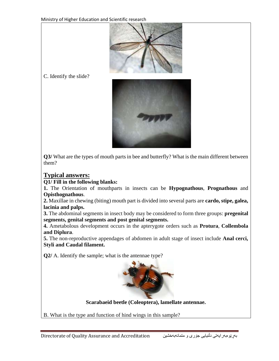

C. Identify the slide?



**Q3/** What are the types of mouth parts in bee and butterfly? What is the main different between them?

## **Typical answers:**

#### **Q1/ Fill in the following blanks:**

**1.** The Orientation of mouthparts in insects can be **Hypognathous**, **Prognathous** and **Opisthognathous**.

**2.** Maxillae in chewing (biting) mouth part is divided into several parts are **cardo, stipe, galea, lacinia and palps.** 

**3.** The abdominal segments in insect body may be considered to form three groups: **pregenital segments, genital segments and post genital segments.**

**4.** Ametabolous development occurs in the apterygote orders such as **Protura**, **Collembola and Diplura**.

**5.** The non-reproductive appendages of abdomen in adult stage of insect include **Anal cerci, Styli and Caudal filament.**

**Q2/** A. Identify the sample; what is the antennae type?



**Scarabaeid beetle (Coleoptera), lamellate antennae.**

B. What is the type and function of hind wings in this sample?